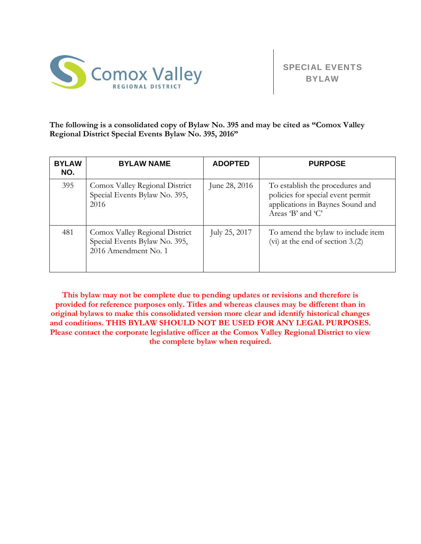

**The following is a consolidated copy of Bylaw No. 395 and may be cited as "Comox Valley Regional District Special Events Bylaw No. 395, 2016"** 

| <b>BYLAW</b><br>NO. | <b>BYLAW NAME</b>                                                                       | <b>ADOPTED</b> | <b>PURPOSE</b>                                                                                                                |
|---------------------|-----------------------------------------------------------------------------------------|----------------|-------------------------------------------------------------------------------------------------------------------------------|
| 395                 | Comox Valley Regional District<br>Special Events Bylaw No. 395,<br>2016                 | June 28, 2016  | To establish the procedures and<br>policies for special event permit<br>applications in Baynes Sound and<br>Areas 'B' and 'C' |
| 481                 | Comox Valley Regional District<br>Special Events Bylaw No. 395,<br>2016 Amendment No. 1 | July 25, 2017  | To amend the bylaw to include item<br>$(vi)$ at the end of section 3.(2)                                                      |

**This bylaw may not be complete due to pending updates or revisions and therefore is provided for reference purposes only. Titles and whereas clauses may be different than in original bylaws to make this consolidated version more clear and identify historical changes and conditions. THIS BYLAW SHOULD NOT BE USED FOR ANY LEGAL PURPOSES. Please contact the corporate legislative officer at the Comox Valley Regional District to view the complete bylaw when required.**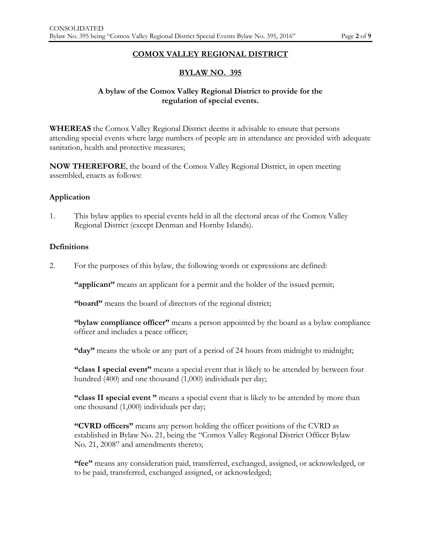#### **COMOX VALLEY REGIONAL DISTRICT**

## **BYLAW NO. 395**

## **A bylaw of the Comox Valley Regional District to provide for the regulation of special events.**

**WHEREAS** the Comox Valley Regional District deems it advisable to ensure that persons attending special events where large numbers of people are in attendance are provided with adequate sanitation, health and protective measures;

**NOW THEREFORE**, the board of the Comox Valley Regional District, in open meeting assembled, enacts as follows:

#### **Application**

1. This bylaw applies to special events held in all the electoral areas of the Comox Valley Regional District (except Denman and Hornby Islands).

#### **Definitions**

2. For the purposes of this bylaw, the following words or expressions are defined:

**"applicant"** means an applicant for a permit and the holder of the issued permit;

**"board"** means the board of directors of the regional district;

**"bylaw compliance officer"** means a person appointed by the board as a bylaw compliance officer and includes a peace officer;

**"day"** means the whole or any part of a period of 24 hours from midnight to midnight;

 **"class I special event"** means a special event that is likely to be attended by between four hundred (400) and one thousand (1,000) individuals per day;

 **"class II special event "** means a special event that is likely to be attended by more than one thousand (1,000) individuals per day;

 **"CVRD officers"** means any person holding the officer positions of the CVRD as established in Bylaw No. 21, being the "Comox Valley Regional District Officer Bylaw No. 21, 2008" and amendments thereto;

**"fee"** means any consideration paid, transferred, exchanged, assigned, or acknowledged, or to be paid, transferred, exchanged assigned, or acknowledged;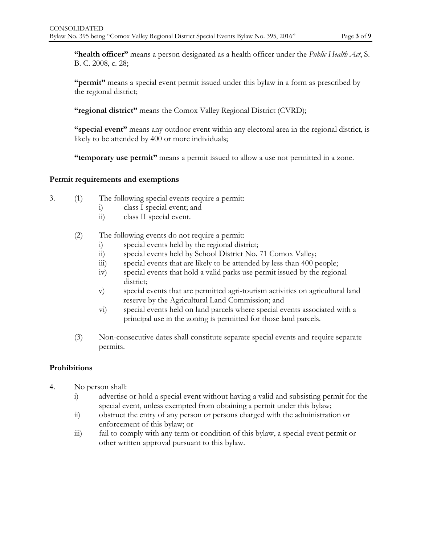**"health officer"** means a person designated as a health officer under the *Public Health Act*, S. B. C. 2008, c. 28;

**"permit"** means a special event permit issued under this bylaw in a form as prescribed by the regional district;

**"regional district"** means the Comox Valley Regional District (CVRD);

**"special event"** means any outdoor event within any electoral area in the regional district, is likely to be attended by 400 or more individuals;

**"temporary use permit"** means a permit issued to allow a use not permitted in a zone.

#### **Permit requirements and exemptions**

- 3. (1) The following special events require a permit:
	- i) class I special event; and
	- ii) class II special event.
	- (2) The following events do not require a permit:
		- i) special events held by the regional district;<br>ii) special events held by School District No.
		- special events held by School District No. 71 Comox Valley;
		- iii) special events that are likely to be attended by less than 400 people;
		- iv) special events that hold a valid parks use permit issued by the regional district;
		- v) special events that are permitted agri-tourism activities on agricultural land reserve by the Agricultural Land Commission; and
		- vi) special events held on land parcels where special events associated with a principal use in the zoning is permitted for those land parcels.
	- (3) Non-consecutive dates shall constitute separate special events and require separate permits.

### **Prohibitions**

- 4. No person shall:
	- i) advertise or hold a special event without having a valid and subsisting permit for the special event, unless exempted from obtaining a permit under this bylaw;
	- ii) obstruct the entry of any person or persons charged with the administration or enforcement of this bylaw; or
	- iii) fail to comply with any term or condition of this bylaw, a special event permit or other written approval pursuant to this bylaw.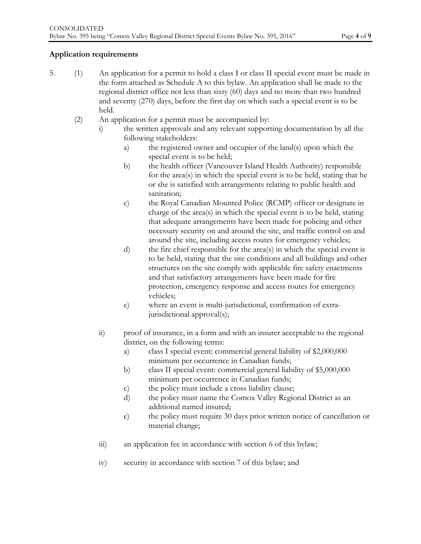# **Application requirements**

- 5. (1) An application for a permit to hold a class I or class II special event must be made in the form attached as Schedule A to this bylaw. An application shall be made to the regional district office not less than sixty (60) days and no more than two hundred and seventy (270) days, before the first day on which such a special event is to be held.
	- (2) An application for a permit must be accompanied by:
		- i) the written approvals and any relevant supporting documentation by all the following stakeholders:
			- a) the registered owner and occupier of the land(s) upon which the special event is to be held;
			- b) the health officer (Vancouver Island Health Authority) responsible for the area(s) in which the special event is to be held, stating that he or she is satisfied with arrangements relating to public health and sanitation;
			- c) the Royal Canadian Mounted Police (RCMP) officer or designate in charge of the area(s) in which the special event is to be held, stating that adequate arrangements have been made for policing and other necessary security on and around the site, and traffic control on and around the site, including access routes for emergency vehicles;
			- d) the fire chief responsible for the area(s) in which the special event is to be held, stating that the site conditions and all buildings and other structures on the site comply with applicable fire safety enactments and that satisfactory arrangements have been made for fire protection, emergency response and access routes for emergency vehicles;
			- e) where an event is multi-jurisdictional, confirmation of extrajurisdictional approval(s);
		- ii) proof of insurance, in a form and with an insurer acceptable to the regional district, on the following terms:
			- a) class I special event: commercial general liability of \$2,000,000 minimum per occurrence in Canadian funds;
			- b) class II special event: commercial general liability of \$5,000,000 minimum per occurrence in Canadian funds;
			- c) the policy must include a cross liability clause;
			- d) the policy must name the Comox Valley Regional District as an additional named insured;
			- e) the policy must require 30 days prior written notice of cancellation or material change;
		- iii) an application fee in accordance with section 6 of this bylaw;
		- iv) security in accordance with section 7 of this bylaw; and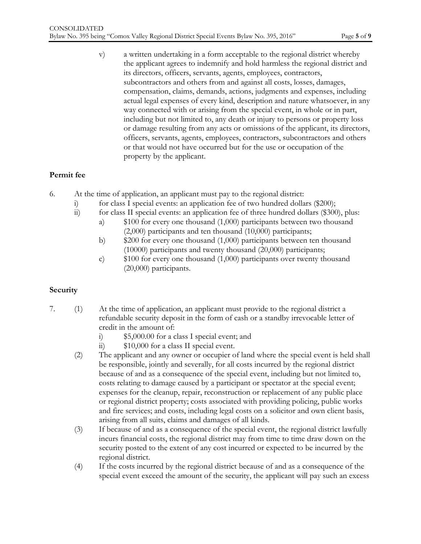v) a written undertaking in a form acceptable to the regional district whereby the applicant agrees to indemnify and hold harmless the regional district and its directors, officers, servants, agents, employees, contractors, subcontractors and others from and against all costs, losses, damages, compensation, claims, demands, actions, judgments and expenses, including actual legal expenses of every kind, description and nature whatsoever, in any way connected with or arising from the special event, in whole or in part, including but not limited to, any death or injury to persons or property loss or damage resulting from any acts or omissions of the applicant, its directors, officers, servants, agents, employees, contractors, subcontractors and others or that would not have occurred but for the use or occupation of the property by the applicant.

# **Permit fee**

- 6. At the time of application, an applicant must pay to the regional district:
	- i) for class I special events: an application fee of two hundred dollars (\$200);<br>ii) for class II special events: an application fee of three hundred dollars (\$300)
	- for class II special events: an application fee of three hundred dollars  $(\$300)$ , plus:
		- a) \$100 for every one thousand (1,000) participants between two thousand (2,000) participants and ten thousand (10,000) participants;
		- b) \$200 for every one thousand (1,000) participants between ten thousand (10000) participants and twenty thousand (20,000) participants;
		- c) \$100 for every one thousand (1,000) participants over twenty thousand (20,000) participants.

# **Security**

- 7. (1) At the time of application, an applicant must provide to the regional district a refundable security deposit in the form of cash or a standby irrevocable letter of credit in the amount of:
	- i) \$5,000.00 for a class I special event; and
	- ii) \$10,000 for a class II special event.
	- (2) The applicant and any owner or occupier of land where the special event is held shall be responsible, jointly and severally, for all costs incurred by the regional district because of and as a consequence of the special event, including but not limited to, costs relating to damage caused by a participant or spectator at the special event; expenses for the cleanup, repair, reconstruction or replacement of any public place or regional district property; costs associated with providing policing, public works and fire services; and costs, including legal costs on a solicitor and own client basis, arising from all suits, claims and damages of all kinds.
	- (3) If because of and as a consequence of the special event, the regional district lawfully incurs financial costs, the regional district may from time to time draw down on the security posted to the extent of any cost incurred or expected to be incurred by the regional district.
	- (4) If the costs incurred by the regional district because of and as a consequence of the special event exceed the amount of the security, the applicant will pay such an excess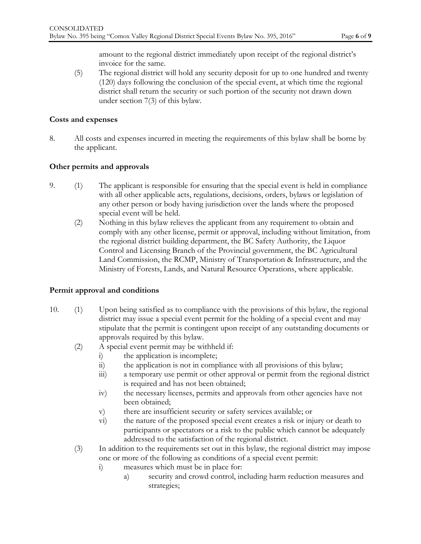amount to the regional district immediately upon receipt of the regional district's invoice for the same.

(5) The regional district will hold any security deposit for up to one hundred and twenty (120) days following the conclusion of the special event, at which time the regional district shall return the security or such portion of the security not drawn down under section 7(3) of this bylaw.

### **Costs and expenses**

8. All costs and expenses incurred in meeting the requirements of this bylaw shall be borne by the applicant.

### **Other permits and approvals**

- 9. (1) The applicant is responsible for ensuring that the special event is held in compliance with all other applicable acts, regulations, decisions, orders, bylaws or legislation of any other person or body having jurisdiction over the lands where the proposed special event will be held.
	- (2) Nothing in this bylaw relieves the applicant from any requirement to obtain and comply with any other license, permit or approval, including without limitation, from the regional district building department, the BC Safety Authority, the Liquor Control and Licensing Branch of the Provincial government, the BC Agricultural Land Commission, the RCMP, Ministry of Transportation & Infrastructure, and the Ministry of Forests, Lands, and Natural Resource Operations, where applicable.

### **Permit approval and conditions**

- 10. (1) Upon being satisfied as to compliance with the provisions of this bylaw, the regional district may issue a special event permit for the holding of a special event and may stipulate that the permit is contingent upon receipt of any outstanding documents or approvals required by this bylaw.
	- (2) A special event permit may be withheld if:
		- i) the application is incomplete;
		- ii) the application is not in compliance with all provisions of this bylaw;
		- iii) a temporary use permit or other approval or permit from the regional district is required and has not been obtained;
		- iv) the necessary licenses, permits and approvals from other agencies have not been obtained;
		- v) there are insufficient security or safety services available; or
		- vi) the nature of the proposed special event creates a risk or injury or death to participants or spectators or a risk to the public which cannot be adequately addressed to the satisfaction of the regional district.
	- (3) In addition to the requirements set out in this bylaw, the regional district may impose one or more of the following as conditions of a special event permit:
		- i) measures which must be in place for:
			- a) security and crowd control, including harm reduction measures and strategies;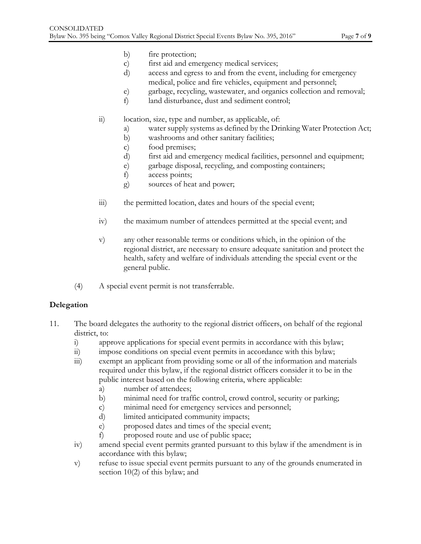- b) fire protection;
- c) first aid and emergency medical services;
- d) access and egress to and from the event, including for emergency medical, police and fire vehicles, equipment and personnel;
- e) garbage, recycling, wastewater, and organics collection and removal;
- f) land disturbance, dust and sediment control;
- ii) location, size, type and number, as applicable, of:
	- a) water supply systems as defined by the Drinking Water Protection Act;
	- b) washrooms and other sanitary facilities;
	- c) food premises;
	- d) first aid and emergency medical facilities, personnel and equipment;
	- e) garbage disposal, recycling, and composting containers;
	- f) access points;
	- g) sources of heat and power;
- iii) the permitted location, dates and hours of the special event;
- iv) the maximum number of attendees permitted at the special event; and
- v) any other reasonable terms or conditions which, in the opinion of the regional district, are necessary to ensure adequate sanitation and protect the health, safety and welfare of individuals attending the special event or the general public.
- (4) A special event permit is not transferrable.

# **Delegation**

- 11. The board delegates the authority to the regional district officers, on behalf of the regional district, to:
	-
	- i) approve applications for special event permits in accordance with this bylaw;<br>ii) impose conditions on special event permits in accordance with this bylaw; impose conditions on special event permits in accordance with this bylaw;
	- iii) exempt an applicant from providing some or all of the information and materials required under this bylaw, if the regional district officers consider it to be in the public interest based on the following criteria, where applicable:
		- a) number of attendees;
		- b) minimal need for traffic control, crowd control, security or parking;
		- c) minimal need for emergency services and personnel;
		- d) limited anticipated community impacts;
		- e) proposed dates and times of the special event;
		- f) proposed route and use of public space;
	- iv) amend special event permits granted pursuant to this bylaw if the amendment is in accordance with this bylaw;
	- v) refuse to issue special event permits pursuant to any of the grounds enumerated in section 10(2) of this bylaw; and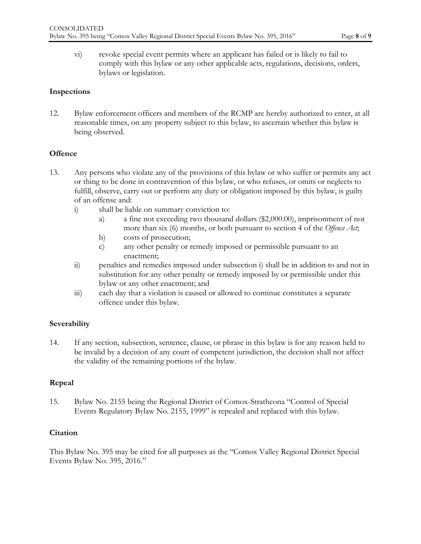vi) revoke special event permits where an applicant has failed or is likely to fail to comply with this bylaw or any other applicable acts, regulations, decisions, orders, bylaws or legislation.

#### **Inspections**

12. Bylaw enforcement officers and members of the RCMP are hereby authorized to enter, at all reasonable times, on any property subject to this bylaw, to ascertain whether this bylaw is being observed.

### **Offence**

- 13. Any persons who violate any of the provisions of this bylaw or who suffer or permits any act or thing to be done in contravention of this bylaw, or who refuses, or omits or neglects to fulfill, observe, carry out or perform any duty or obligation imposed by this bylaw, is guilty of an offense and:
	- i) shall be liable on summary conviction to:
		- a) a fine not exceeding two thousand dollars (\$2,000.00), imprisonment of not more than six (6) months, or both pursuant to section 4 of the *Offence Act*;
		- b) costs of prosecution;
		- c) any other penalty or remedy imposed or permissible pursuant to an enactment;
	- ii) penalties and remedies imposed under subsection i) shall be in addition to and not in substitution for any other penalty or remedy imposed by or permissible under this bylaw or any other enactment; and
	- iii) each day that a violation is caused or allowed to continue constitutes a separate offence under this bylaw.

### **Severability**

14. If any section, subsection, sentence, clause, or phrase in this bylaw is for any reason held to be invalid by a decision of any court of competent jurisdiction, the decision shall not affect the validity of the remaining portions of the bylaw.

### **Repeal**

15. Bylaw No. 2155 being the Regional District of Comox-Strathcona "Control of Special Events Regulatory Bylaw No. 2155, 1999" is repealed and replaced with this bylaw.

### **Citation**

This Bylaw No. 395 may be cited for all purposes as the "Comox Valley Regional District Special Events Bylaw No. 395, 2016."